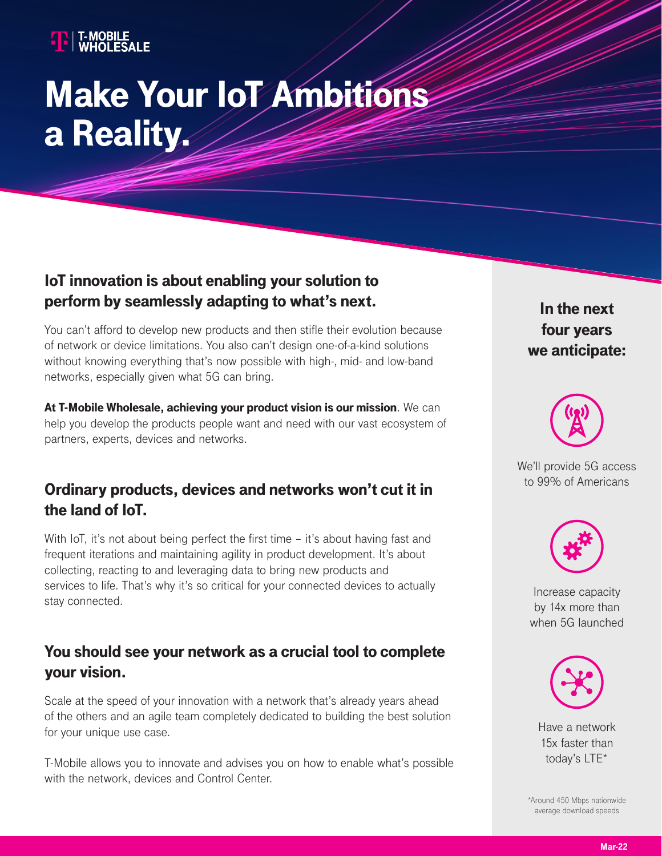# Make Your IoT Ambitions a Reality.

### IoT innovation is about enabling your solution to perform by seamlessly adapting to what's next.

You can't afford to develop new products and then stifle their evolution because of network or device limitations. You also can't design one-of-a-kind solutions without knowing everything that's now possible with high-, mid- and low-band networks, especially given what 5G can bring.

At T-Mobile Wholesale, achieving your product vision is our mission. We can help you develop the products people want and need with our vast ecosystem of partners, experts, devices and networks.

#### Ordinary products, devices and networks won't cut it in the land of IoT.

With IoT, it's not about being perfect the first time – it's about having fast and frequent iterations and maintaining agility in product development. It's about collecting, reacting to and leveraging data to bring new products and services to life. That's why it's so critical for your connected devices to actually stay connected.

#### You should see your network as a crucial tool to complete your vision.

Scale at the speed of your innovation with a network that's already years ahead of the others and an agile team completely dedicated to building the best solution for your unique use case.

T-Mobile allows you to innovate and advises you on how to enable what's possible with the network, devices and Control Center.

In the next four years we anticipate:



We'll provide 5G access to 99% of Americans



Increase capacity by 14x more than when 5G launched



Have a network 15x faster than today's LTE\*

\*Around 450 Mbps nationwide average download speeds